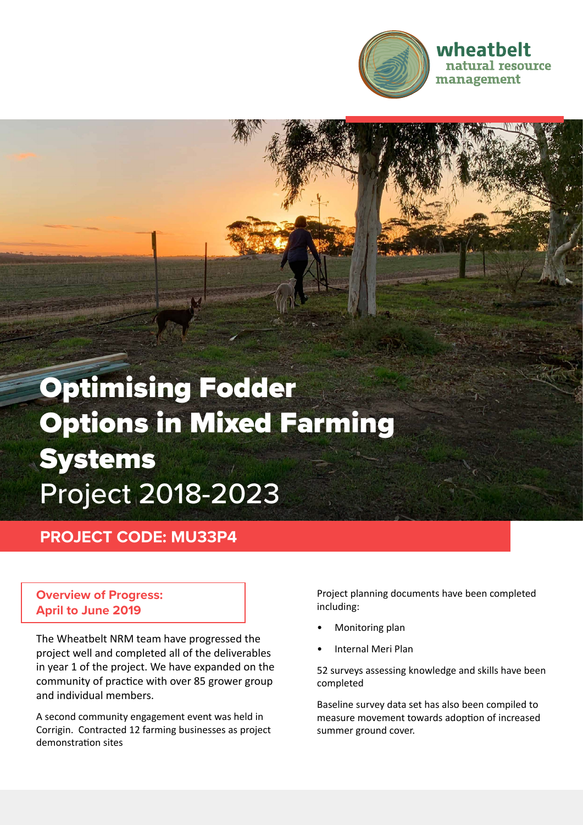

# Optimising Fodder Options in Mixed Farming Systems Project 2018-2023

## **PROJECT CODE: MU33P4**

#### **Overview of Progress: April to June 2019**

The Wheatbelt NRM team have progressed the project well and completed all of the deliverables in year 1 of the project. We have expanded on the community of practice with over 85 grower group and individual members.

A second community engagement event was held in Corrigin. Contracted 12 farming businesses as project demonstration sites

Project planning documents have been completed including:

- Monitoring plan
- Internal Meri Plan

52 surveys assessing knowledge and skills have been completed

Baseline survey data set has also been compiled to measure movement towards adoption of increased summer ground cover.